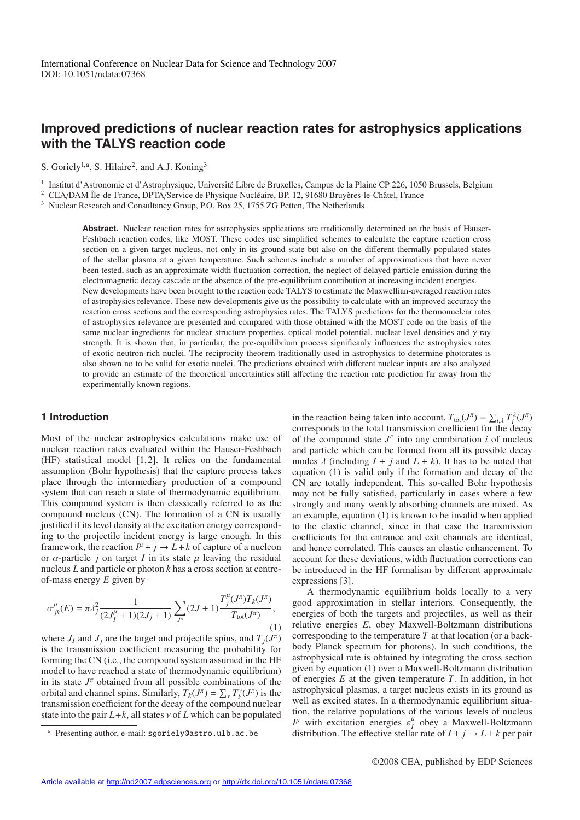# **Improved predictions of nuclear reaction rates for astrophysics applications with the TALYS reaction code**

S. Goriely<sup>1,a</sup>, S. Hilaire<sup>2</sup>, and A.J. Koning<sup>3</sup>

<sup>1</sup> Institut d'Astronomie et d'Astrophysique, Université Libre de Bruxelles, Campus de la Plaine CP 226, 1050 Brussels, Belgium

<sup>2</sup> CEA/DAM Île-de-France, DPTA/Service de Physique Nucléaire, BP. 12, 91680 Bruyères-le-Châtel, France

<sup>3</sup> Nuclear Research and Consultancy Group, P.O. Box 25, 1755 ZG Petten, The Netherlands

**Abstract.** Nuclear reaction rates for astrophysics applications are traditionally determined on the basis of Hauser-Feshbach reaction codes, like MOST. These codes use simplified schemes to calculate the capture reaction cross section on a given target nucleus, not only in its ground state but also on the different thermally populated states of the stellar plasma at a given temperature. Such schemes include a number of approximations that have never been tested, such as an approximate width fluctuation correction, the neglect of delayed particle emission during the electromagnetic decay cascade or the absence of the pre-equilibrium contribution at increasing incident energies. New developments have been brought to the reaction code TALYS to estimate the Maxwellian-averaged reaction rates of astrophysics relevance. These new developments give us the possibility to calculate with an improved accuracy the reaction cross sections and the corresponding astrophysics rates. The TALYS predictions for the thermonuclear rates of astrophysics relevance are presented and compared with those obtained with the MOST code on the basis of the same nuclear ingredients for nuclear structure properties, optical model potential, nuclear level densities and γ-ray strength. It is shown that, in particular, the pre-equilibrium process significanly influences the astrophysics rates of exotic neutron-rich nuclei. The reciprocity theorem traditionally used in astrophysics to determine photorates is also shown no to be valid for exotic nuclei. The predictions obtained with different nuclear inputs are also analyzed to provide an estimate of the theoretical uncertainties still affecting the reaction rate prediction far away from the experimentally known regions.

## **1 Introduction**

Most of the nuclear astrophysics calculations make use of nuclear reaction rates evaluated within the Hauser-Feshbach  $(HF)$  statistical model  $[1, 2]$ . It relies on the fundamental assumption (Bohr hypothesis) that the capture process takes place through the intermediary production of a compound system that can reach a state of thermodynamic equilibrium. This compound system is then classically referred to as the compound nucleus (CN). The formation of a CN is usually justified if its level density at the excitation energy corresponding to the projectile incident energy is large enough. In this framework, the reaction  $I^{\mu} + j \rightarrow L + k$  of capture of a nucleon or  $\alpha$ -particle *j* on target *I* in its state  $\mu$  leaving the residual nucleus *L* and particle or photon *k* has a cross section at centreof-mass energy *E* given by

$$
\sigma_{jk}^{\mu}(E) = \pi \lambda_j^2 \frac{1}{(2J_I^{\mu} + 1)(2J_j + 1)} \sum_{J^{\pi}} (2J + 1) \frac{T_j^{\mu}(J^{\pi})T_k(J^{\pi})}{T_{\text{tot}}(J^{\pi})},
$$
\n(1)

where  $J_I$  and  $J_j$  are the target and projectile spins, and  $T_j(J^{\pi})$ is the transmission coefficient measuring the probability for forming the CN (i.e., the compound system assumed in the HF model to have reached a state of thermodynamic equilibrium) in its state  $J^{\pi}$  obtained from all possible combinations of the orbital and channel spins. Similarly,  $T_k(J^{\pi}) = \sum_{v} T_k^v(J^{\pi})$  is the transmission coefficient for the decay of the compound nuclear state into the pair  $L+k$ , all states  $\nu$  of  $L$  which can be populated

in the reaction being taken into account.  $T_{\text{tot}}(J^{\pi}) = \sum_{i,\lambda} T_i^{\lambda}(J^{\pi})$ corresponds to the total transmission coefficient for the decay of the compound state  $J^{\pi}$  into any combination *i* of nucleus and particle which can be formed from all its possible decay modes  $\lambda$  (including  $I + j$  and  $L + k$ ). It has to be noted that equation (1) is valid only if the formation and decay of the CN are totally independent. This so-called Bohr hypothesis may not be fully satisfied, particularly in cases where a few strongly and many weakly absorbing channels are mixed. As an example, equation (1) is known to be invalid when applied to the elastic channel, since in that case the transmission coefficients for the entrance and exit channels are identical, and hence correlated. This causes an elastic enhancement. To account for these deviations, width fluctuation corrections can be introduced in the HF formalism by different approximate expressions [3].

A thermodynamic equilibrium holds locally to a very good approximation in stellar interiors. Consequently, the energies of both the targets and projectiles, as well as their relative energies *E*, obey Maxwell-Boltzmann distributions corresponding to the temperature *T* at that location (or a backbody Planck spectrum for photons). In such conditions, the astrophysical rate is obtained by integrating the cross section given by equation (1) over a Maxwell-Boltzmann distribution of energies *E* at the given temperature *T*. In addition, in hot astrophysical plasmas, a target nucleus exists in its ground as well as excited states. In a thermodynamic equilibrium situation, the relative populations of the various levels of nucleus  $I^{\mu}$  with excitation energies  $\varepsilon_I^{\mu}$  obey a Maxwell-Boltzmann distribution. The effective stellar rate of  $I + j \rightarrow L + k$  per pair

*<sup>a</sup>* Presenting author, e-mail: sgoriely@astro.ulb.ac.be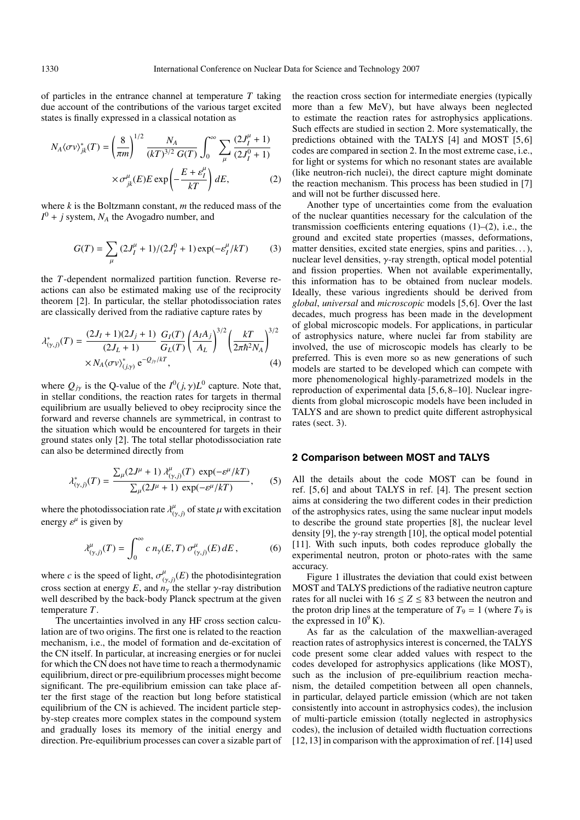of particles in the entrance channel at temperature *T* taking due account of the contributions of the various target excited states is finally expressed in a classical notation as

$$
N_A \langle \sigma v \rangle_{jk}^* (T) = \left(\frac{8}{\pi m}\right)^{1/2} \frac{N_A}{(kT)^{3/2} G(T)} \int_0^\infty \sum_{\mu} \frac{(2J_I^{\mu} + 1)}{(2J_I^0 + 1)}
$$

$$
\times \sigma_{jk}^{\mu} (E) E \exp\left(-\frac{E + \varepsilon_I^{\mu}}{kT}\right) dE, \tag{2}
$$

where *k* is the Boltzmann constant, *m* the reduced mass of the  $I^0$  + *j* system,  $N_A$  the Avogadro number, and

$$
G(T) = \sum_{\mu} (2J_I^{\mu} + 1)/(2J_I^0 + 1) \exp(-\varepsilon_I^{\mu}/kT)
$$
 (3)

the *T*-dependent normalized partition function. Reverse reactions can also be estimated making use of the reciprocity theorem [2]. In particular, the stellar photodissociation rates are classically derived from the radiative capture rates by

$$
\lambda_{(\gamma,j)}^*(T) = \frac{(2J_I + 1)(2J_j + 1)}{(2J_L + 1)} \frac{G_I(T)}{G_L(T)} \left(\frac{A_I A_j}{A_L}\right)^{3/2} \left(\frac{kT}{2\pi\hbar^2 N_A}\right)^{3/2} \times N_A \langle \sigma v \rangle_{(j,\gamma)}^* e^{-Q_{j\gamma}/kT}, \tag{4}
$$

where  $Q_{j\gamma}$  is the Q-value of the  $I^0(j, \gamma)L^0$  capture. Note that, in stellar conditions, the reaction rates for targets in thermal equilibrium are usually believed to obey reciprocity since the forward and reverse channels are symmetrical, in contrast to the situation which would be encountered for targets in their ground states only [2]. The total stellar photodissociation rate can also be determined directly from

$$
\lambda_{(\gamma,j)}^*(T) = \frac{\sum_{\mu} (2J^{\mu} + 1) \lambda_{(\gamma,j)}^{\mu}(T) \exp(-\varepsilon^{\mu}/kT)}{\sum_{\mu} (2J^{\mu} + 1) \exp(-\varepsilon^{\mu}/kT)},
$$
 (5)

where the photodissociation rate  $\lambda_{(\gamma,j)}^{\mu}$  of state  $\mu$  with excitation energy  $\varepsilon^{\mu}$  is given by

$$
\lambda_{(\gamma,j)}^{\mu}(T) = \int_0^{\infty} c \, n_{\gamma}(E,T) \, \sigma_{(\gamma,j)}^{\mu}(E) \, dE \,, \tag{6}
$$

where *c* is the speed of light,  $\sigma_{(\gamma,j)}^{\mu}(E)$  the photodisintegration cross section at energy *E*, and  $n<sub>y</sub>$  the stellar  $\gamma$ -ray distribution well described by the back-body Planck spectrum at the given temperature *T*.

The uncertainties involved in any HF cross section calculation are of two origins. The first one is related to the reaction mechanism, i.e., the model of formation and de-excitation of the CN itself. In particular, at increasing energies or for nuclei for which the CN does not have time to reach a thermodynamic equilibrium, direct or pre-equilibrium processes might become significant. The pre-equilibrium emission can take place after the first stage of the reaction but long before statistical equilibrium of the CN is achieved. The incident particle stepby-step creates more complex states in the compound system and gradually loses its memory of the initial energy and direction. Pre-equilibrium processes can cover a sizable part of the reaction cross section for intermediate energies (typically more than a few MeV), but have always been neglected to estimate the reaction rates for astrophysics applications. Such effects are studied in section 2. More systematically, the predictions obtained with the TALYS [4] and MOST [5,6] codes are compared in section 2. In the most extreme case, i.e., for light or systems for which no resonant states are available (like neutron-rich nuclei), the direct capture might dominate the reaction mechanism. This process has been studied in [7] and will not be further discussed here.

Another type of uncertainties come from the evaluation of the nuclear quantities necessary for the calculation of the transmission coefficients entering equations  $(1)$ – $(2)$ , i.e., the ground and excited state properties (masses, deformations, matter densities, excited state energies, spins and parities. . . ), nuclear level densities, γ-ray strength, optical model potential and fission properties. When not available experimentally, this information has to be obtained from nuclear models. Ideally, these various ingredients should be derived from *global*, *universal* and *microscopic* models [5, 6]. Over the last decades, much progress has been made in the development of global microscopic models. For applications, in particular of astrophysics nature, where nuclei far from stability are involved, the use of microscopic models has clearly to be preferred. This is even more so as new generations of such models are started to be developed which can compete with more phenomenological highly-parametrized models in the reproduction of experimental data [5, 6, 8–10]. Nuclear ingredients from global microscopic models have been included in TALYS and are shown to predict quite different astrophysical rates (sect. 3).

### **2 Comparison between MOST and TALYS**

All the details about the code MOST can be found in ref. [5, 6] and about TALYS in ref. [4]. The present section aims at considering the two different codes in their prediction of the astrophysics rates, using the same nuclear input models to describe the ground state properties [8], the nuclear level density [9], the  $\gamma$ -ray strength [10], the optical model potential [11]. With such inputs, both codes reproduce globally the experimental neutron, proton or photo-rates with the same accuracy.

Figure 1 illustrates the deviation that could exist between MOST and TALYS predictions of the radiative neutron capture rates for all nuclei with  $16 \le Z \le 83$  between the neutron and the proton drip lines at the temperature of  $T_9 = 1$  (where  $T_9$  is the expressed in  $10^9$  K).

As far as the calculation of the maxwellian-averaged reaction rates of astrophysics interest is concerned, the TALYS code present some clear added values with respect to the codes developed for astrophysics applications (like MOST), such as the inclusion of pre-equilibrium reaction mechanism, the detailed competition between all open channels, in particular, delayed particle emission (which are not taken consistently into account in astrophysics codes), the inclusion of multi-particle emission (totally neglected in astrophysics codes), the inclusion of detailed width fluctuation corrections [12, 13] in comparison with the approximation of ref. [14] used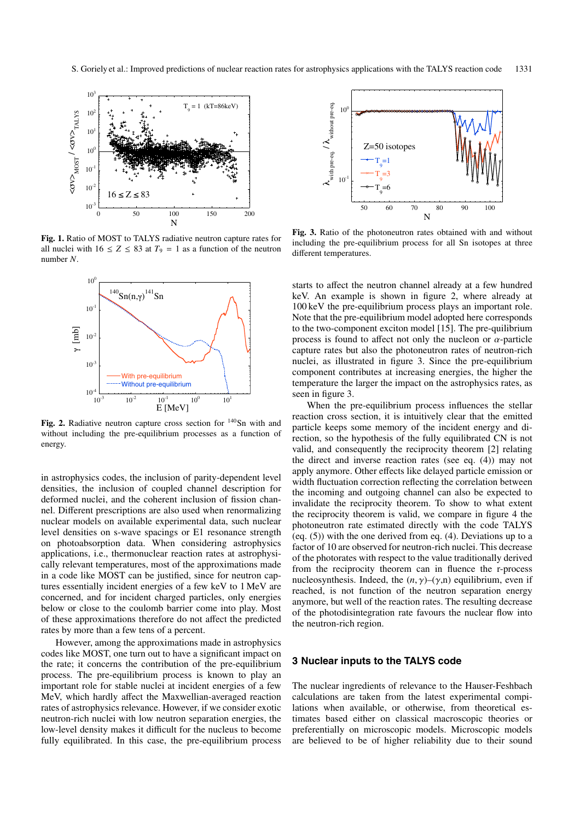

**Fig. 1.** Ratio of MOST to TALYS radiative neutron capture rates for all nuclei with  $16 \le Z \le 83$  at  $T_9 = 1$  as a function of the neutron number *N*.



Fig. 2. Radiative neutron capture cross section for <sup>140</sup>Sn with and without including the pre-equilibrium processes as a function of energy.

in astrophysics codes, the inclusion of parity-dependent level densities, the inclusion of coupled channel description for deformed nuclei, and the coherent inclusion of fission channel. Different prescriptions are also used when renormalizing nuclear models on available experimental data, such nuclear level densities on s-wave spacings or E1 resonance strength on photoabsorption data. When considering astrophysics applications, i.e., thermonuclear reaction rates at astrophysically relevant temperatures, most of the approximations made in a code like MOST can be justified, since for neutron captures essentially incident energies of a few keV to 1 MeV are concerned, and for incident charged particles, only energies below or close to the coulomb barrier come into play. Most of these approximations therefore do not affect the predicted rates by more than a few tens of a percent.

However, among the approximations made in astrophysics codes like MOST, one turn out to have a significant impact on the rate; it concerns the contribution of the pre-equilibrium process. The pre-equilibrium process is known to play an important role for stable nuclei at incident energies of a few MeV, which hardly affect the Maxwellian-averaged reaction rates of astrophysics relevance. However, if we consider exotic neutron-rich nuclei with low neutron separation energies, the low-level density makes it difficult for the nucleus to become fully equilibrated. In this case, the pre-equilibrium process



**Fig. 3.** Ratio of the photoneutron rates obtained with and without including the pre-equilibrium process for all Sn isotopes at three different temperatures.

starts to affect the neutron channel already at a few hundred keV. An example is shown in figure 2, where already at 100 keV the pre-equilibrium process plays an important role. Note that the pre-equilibrium model adopted here corresponds to the two-component exciton model [15]. The pre-quilibrium process is found to affect not only the nucleon or  $\alpha$ -particle capture rates but also the photoneutron rates of neutron-rich nuclei, as illustrated in figure 3. Since the pre-equilibrium component contributes at increasing energies, the higher the temperature the larger the impact on the astrophysics rates, as seen in figure 3.

When the pre-equilibrium process influences the stellar reaction cross section, it is intuitively clear that the emitted particle keeps some memory of the incident energy and direction, so the hypothesis of the fully equilibrated CN is not valid, and consequently the reciprocity theorem [2] relating the direct and inverse reaction rates (see eq. (4)) may not apply anymore. Other effects like delayed particle emission or width fluctuation correction reflecting the correlation between the incoming and outgoing channel can also be expected to invalidate the reciprocity theorem. To show to what extent the reciprocity theorem is valid, we compare in figure 4 the photoneutron rate estimated directly with the code TALYS (eq. (5)) with the one derived from eq. (4). Deviations up to a factor of 10 are observed for neutron-rich nuclei. This decrease of the photorates with respect to the value traditionally derived from the reciprocity theorem can in fluence the r-process nucleosynthesis. Indeed, the  $(n, \gamma)$ – $(\gamma, n)$  equilibrium, even if reached, is not function of the neutron separation energy anymore, but well of the reaction rates. The resulting decrease of the photodisintegration rate favours the nuclear flow into the neutron-rich region.

#### **3 Nuclear inputs to the TALYS code**

The nuclear ingredients of relevance to the Hauser-Feshbach calculations are taken from the latest experimental compilations when available, or otherwise, from theoretical estimates based either on classical macroscopic theories or preferentially on microscopic models. Microscopic models are believed to be of higher reliability due to their sound